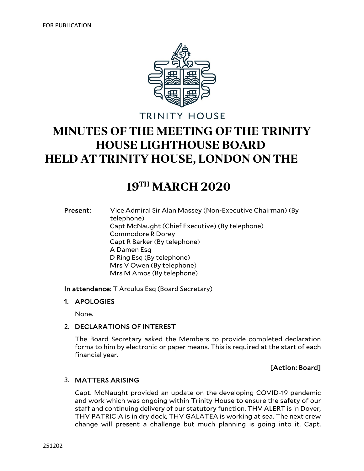

**TRINITY HOUSE** 

# **MINUTES OF THE MEETING OF THE TRINITY HOUSE LIGHTHOUSE BOARD HELD AT TRINITY HOUSE, LONDON ON THE**

## **19TH MARCH 2020**

Present: Vice Admiral Sir Alan Massey (Non-Executive Chairman) (By telephone) Capt McNaught (Chief Executive) (By telephone) Commodore R Dorey Capt R Barker (By telephone) A Damen Esq D Ring Esq (By telephone) Mrs V Owen (By telephone) Mrs M Amos (By telephone)

In attendance: T Arculus Esq (Board Secretary)

#### 1. APOLOGIES

None.

#### 2. DECLARATIONS OF INTEREST

The Board Secretary asked the Members to provide completed declaration forms to him by electronic or paper means. This is required at the start of each financial year.

## [Action: Board]

## 3. MATTERS ARISING

Capt. McNaught provided an update on the developing COVID-19 pandemic and work which was ongoing within Trinity House to ensure the safety of our staff and continuing delivery of our statutory function. THV ALERT is in Dover, THV PATRICIA is in dry dock, THV GALATEA is working at sea. The next crew change will present a challenge but much planning is going into it. Capt.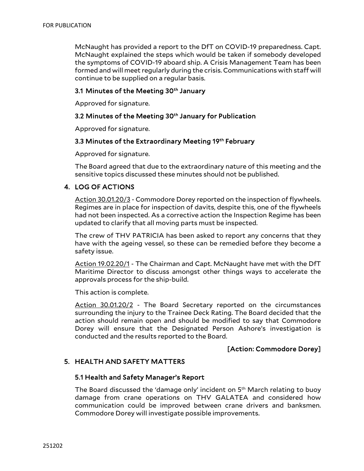McNaught has provided a report to the DfT on COVID-19 preparedness. Capt. McNaught explained the steps which would be taken if somebody developed the symptoms of COVID-19 aboard ship. A Crisis Management Team has been formed and will meet regularly during the crisis. Communications with staff will continue to be supplied on a regular basis.

## 3.1 Minutes of the Meeting 30<sup>th</sup> January

Approved for signature.

## 3.2 Minutes of the Meeting 30<sup>th</sup> January for Publication

Approved for signature.

## 3.3 Minutes of the Extraordinary Meeting 19<sup>th</sup> February

Approved for signature.

The Board agreed that due to the extraordinary nature of this meeting and the sensitive topics discussed these minutes should not be published.

## 4. LOG OF ACTIONS

Action 30.01.20/3 - Commodore Dorey reported on the inspection of flywheels. Regimes are in place for inspection of davits, despite this, one of the flywheels had not been inspected. As a corrective action the Inspection Regime has been updated to clarify that all moving parts must be inspected.

The crew of THV PATRICIA has been asked to report any concerns that they have with the ageing vessel, so these can be remedied before they become a safety issue.

Action 19.02.20/1 - The Chairman and Capt. McNaught have met with the DfT Maritime Director to discuss amongst other things ways to accelerate the approvals process for the ship-build.

This action is complete.

Action 30.01.20/2 - The Board Secretary reported on the circumstances surrounding the injury to the Trainee Deck Rating. The Board decided that the action should remain open and should be modified to say that Commodore Dorey will ensure that the Designated Person Ashore's investigation is conducted and the results reported to the Board.

## [Action: Commodore Dorey]

## 5. HEALTH AND SAFETY MATTERS

## 5.1 Health and Safety Manager's Report

The Board discussed the 'damage only' incident on  $5<sup>th</sup>$  March relating to buoy damage from crane operations on THV GALATEA and considered how communication could be improved between crane drivers and banksmen. Commodore Dorey will investigate possible improvements.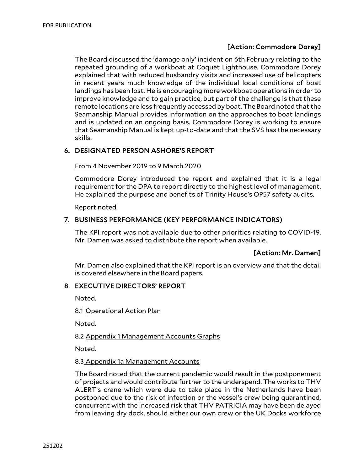## [Action: Commodore Dorey]

The Board discussed the 'damage only' incident on 6th February relating to the repeated grounding of a workboat at Coquet Lighthouse. Commodore Dorey explained that with reduced husbandry visits and increased use of helicopters in recent years much knowledge of the individual local conditions of boat landings has been lost. He is encouraging more workboat operations in order to improve knowledge and to gain practice, but part of the challenge is that these remote locations are less frequently accessed by boat. The Board noted that the Seamanship Manual provides information on the approaches to boat landings and is updated on an ongoing basis. Commodore Dorey is working to ensure that Seamanship Manual is kept up-to-date and that the SVS has the necessary skills.

## 6. DESIGNATED PERSON ASHORE'S REPORT

#### From 4 November 2019 to 9 March 2020

Commodore Dorey introduced the report and explained that it is a legal requirement for the DPA to report directly to the highest level of management. He explained the purpose and benefits of Trinity House's OP57 safety audits.

Report noted.

#### 7. BUSINESS PERFORMANCE (KEY PERFORMANCE INDICATORS)

The KPI report was not available due to other priorities relating to COVID-19. Mr. Damen was asked to distribute the report when available.

## [Action: Mr. Damen]

Mr. Damen also explained that the KPI report is an overview and that the detail is covered elsewhere in the Board papers.

#### 8. EXECUTIVE DIRECTORS' REPORT

Noted.

8.1 Operational Action Plan

Noted.

#### 8.2 Appendix 1 Management Accounts Graphs

Noted.

#### 8.3 Appendix 1a Management Accounts

The Board noted that the current pandemic would result in the postponement of projects and would contribute further to the underspend. The works to THV ALERT's crane which were due to take place in the Netherlands have been postponed due to the risk of infection or the vessel's crew being quarantined, concurrent with the increased risk that THV PATRICIA may have been delayed from leaving dry dock, should either our own crew or the UK Docks workforce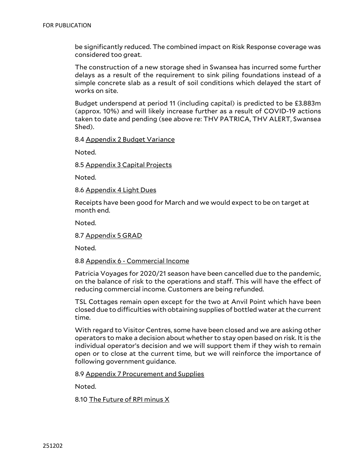be significantly reduced. The combined impact on Risk Response coverage was considered too great.

The construction of a new storage shed in Swansea has incurred some further delays as a result of the requirement to sink piling foundations instead of a simple concrete slab as a result of soil conditions which delayed the start of works on site.

Budget underspend at period 11 (including capital) is predicted to be £3.883m (approx. 10%) and will likely increase further as a result of COVID-19 actions taken to date and pending (see above re: THV PATRICA, THV ALERT, Swansea Shed).

8.4 Appendix 2 Budget Variance

Noted.

8.5 Appendix 3 Capital Projects

Noted.

8.6 Appendix 4 Light Dues

Receipts have been good for March and we would expect to be on target at month end.

Noted.

8.7 Appendix 5 GRAD

Noted.

#### 8.8 Appendix 6 - Commercial Income

Patricia Voyages for 2020/21 season have been cancelled due to the pandemic, on the balance of risk to the operations and staff. This will have the effect of reducing commercial income. Customers are being refunded.

TSL Cottages remain open except for the two at Anvil Point which have been closed due to difficulties with obtaining supplies of bottled water at the current time.

With regard to Visitor Centres, some have been closed and we are asking other operators to make a decision about whether to stay open based on risk. It is the individual operator's decision and we will support them if they wish to remain open or to close at the current time, but we will reinforce the importance of following government guidance.

8.9 Appendix 7 Procurement and Supplies

Noted.

8.10 The Future of RPI minus X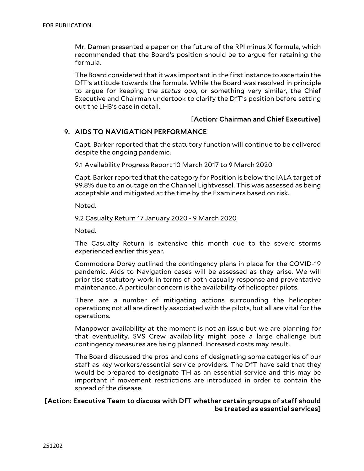Mr. Damen presented a paper on the future of the RPI minus X formula, which recommended that the Board's position should be to argue for retaining the formula.

The Board considered that it was important in the first instance to ascertain the DfT's attitude towards the formula. While the Board was resolved in principle to argue for keeping the *status quo*, or something very similar, the Chief Executive and Chairman undertook to clarify the DfT's position before setting out the LHB's case in detail.

## [Action: Chairman and Chief Executive]

## 9. AIDS TO NAVIGATION PERFORMANCE

Capt. Barker reported that the statutory function will continue to be delivered despite the ongoing pandemic.

9.1 Availability Progress Report 10 March 2017 to 9 March 2020

Capt. Barker reported that the category for Position is below the IALA target of 99.8% due to an outage on the Channel Lightvessel. This was assessed as being acceptable and mitigated at the time by the Examiners based on risk.

Noted.

#### 9.2 Casualty Return 17 January 2020 - 9 March 2020

Noted.

The Casualty Return is extensive this month due to the severe storms experienced earlier this year.

Commodore Dorey outlined the contingency plans in place for the COVID-19 pandemic. Aids to Navigation cases will be assessed as they arise. We will prioritise statutory work in terms of both casually response and preventative maintenance. A particular concern is the availability of helicopter pilots.

There are a number of mitigating actions surrounding the helicopter operations; not all are directly associated with the pilots, but all are vital for the operations.

Manpower availability at the moment is not an issue but we are planning for that eventuality. SVS Crew availability might pose a large challenge but contingency measures are being planned. Increased costs may result.

The Board discussed the pros and cons of designating some categories of our staff as key workers/essential service providers. The DfT have said that they would be prepared to designate TH as an essential service and this may be important if movement restrictions are introduced in order to contain the spread of the disease.

## [Action: Executive Team to discuss with DfT whether certain groups of staff should be treated as essential services]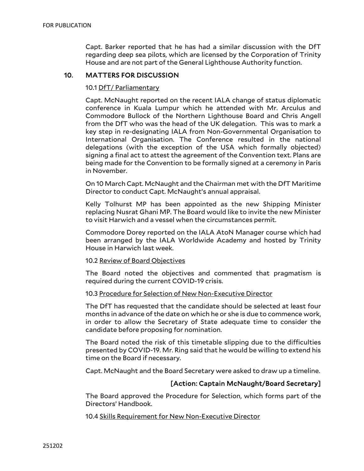Capt. Barker reported that he has had a similar discussion with the DfT regarding deep sea pilots, which are licensed by the Corporation of Trinity House and are not part of the General Lighthouse Authority function.

## 10. MATTERS FOR DISCUSSION

#### 10.1 DfT/ Parliamentary

Capt. McNaught reported on the recent IALA change of status diplomatic conference in Kuala Lumpur which he attended with Mr. Arculus and Commodore Bullock of the Northern Lighthouse Board and Chris Angell from the DfT who was the head of the UK delegation. This was to mark a key step in re-designating IALA from Non-Governmental Organisation to International Organisation. The Conference resulted in the national delegations (with the exception of the USA which formally objected) signing a final act to attest the agreement of the Convention text. Plans are being made for the Convention to be formally signed at a ceremony in Paris in November.

On 10 March Capt. McNaught and the Chairman met with the DfT Maritime Director to conduct Capt. McNaught's annual appraisal.

Kelly Tolhurst MP has been appointed as the new Shipping Minister replacing Nusrat Ghani MP. The Board would like to invite the new Minister to visit Harwich and a vessel when the circumstances permit.

Commodore Dorey reported on the IALA AtoN Manager course which had been arranged by the IALA Worldwide Academy and hosted by Trinity House in Harwich last week.

#### 10.2 Review of Board Objectives

The Board noted the objectives and commented that pragmatism is required during the current COVID-19 crisis.

#### 10.3 Procedure for Selection of New Non-Executive Director

The DfT has requested that the candidate should be selected at least four months in advance of the date on which he or she is due to commence work, in order to allow the Secretary of State adequate time to consider the candidate before proposing for nomination.

The Board noted the risk of this timetable slipping due to the difficulties presented by COVID-19. Mr. Ring said that he would be willing to extend his time on the Board if necessary.

Capt. McNaught and the Board Secretary were asked to draw up a timeline.

#### [Action: Captain McNaught/Board Secretary]

The Board approved the Procedure for Selection, which forms part of the Directors' Handbook.

10.4 Skills Requirement for New Non-Executive Director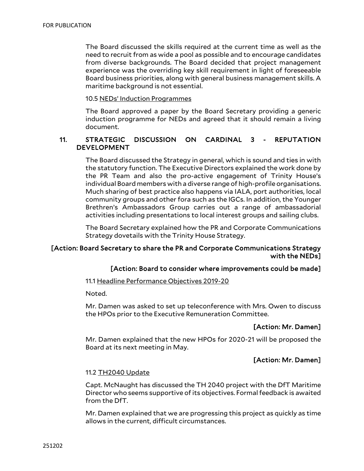The Board discussed the skills required at the current time as well as the need to recruit from as wide a pool as possible and to encourage candidates from diverse backgrounds. The Board decided that project management experience was the overriding key skill requirement in light of foreseeable Board business priorities, along with general business management skills. A maritime background is not essential.

10.5 NEDs' Induction Programmes

The Board approved a paper by the Board Secretary providing a generic induction programme for NEDs and agreed that it should remain a living document.

## 11. STRATEGIC DISCUSSION ON CARDINAL 3 - REPUTATION DEVELOPMENT

The Board discussed the Strategy in general, which is sound and ties in with the statutory function. The Executive Directors explained the work done by the PR Team and also the pro-active engagement of Trinity House's individual Board members with a diverse range of high-profile organisations. Much sharing of best practice also happens via IALA, port authorities, local community groups and other fora such as the IGCs. In addition, the Younger Brethren's Ambassadors Group carries out a range of ambassadorial activities including presentations to local interest groups and sailing clubs.

The Board Secretary explained how the PR and Corporate Communications Strategy dovetails with the Trinity House Strategy.

## [Action: Board Secretary to share the PR and Corporate Communications Strategy with the NEDs]

## [Action: Board to consider where improvements could be made]

11.1 Headline Performance Objectives 2019-20

Noted.

Mr. Damen was asked to set up teleconference with Mrs. Owen to discuss the HPOs prior to the Executive Remuneration Committee.

## [Action: Mr. Damen]

Mr. Damen explained that the new HPOs for 2020-21 will be proposed the Board at its next meeting in May.

## [Action: Mr. Damen]

#### 11.2 TH2040 Update

Capt. McNaught has discussed the TH 2040 project with the DfT Maritime Director who seems supportive of its objectives. Formal feedback is awaited from the DfT.

Mr. Damen explained that we are progressing this project as quickly as time allows in the current, difficult circumstances.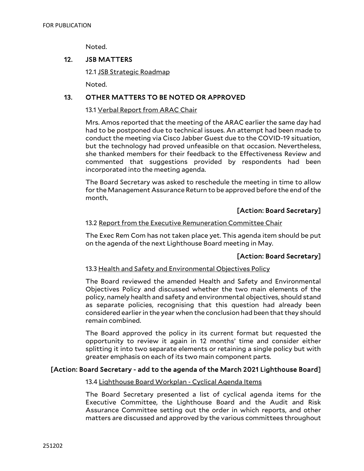Noted.

## 12. JSB MATTERS

12.1 JSB Strategic Roadmap

Noted.

## 13. OTHER MATTERS TO BE NOTED OR APPROVED

#### 13.1 Verbal Report from ARAC Chair

Mrs. Amos reported that the meeting of the ARAC earlier the same day had had to be postponed due to technical issues. An attempt had been made to conduct the meeting via Cisco Jabber Guest due to the COVID-19 situation, but the technology had proved unfeasible on that occasion. Nevertheless, she thanked members for their feedback to the Effectiveness Review and commented that suggestions provided by respondents had been incorporated into the meeting agenda.

The Board Secretary was asked to reschedule the meeting in time to allow for the Management Assurance Return to be approved before the end of the month.

## [Action: Board Secretary]

#### 13.2 Report from the Executive Remuneration Committee Chair

The Exec Rem Com has not taken place yet. This agenda item should be put on the agenda of the next Lighthouse Board meeting in May.

## [Action: Board Secretary]

#### 13.3 Health and Safety and Environmental Objectives Policy

The Board reviewed the amended Health and Safety and Environmental Objectives Policy and discussed whether the two main elements of the policy, namely health and safety and environmental objectives, should stand as separate policies, recognising that this question had already been considered earlier in the year when the conclusion had been that they should remain combined.

The Board approved the policy in its current format but requested the opportunity to review it again in 12 months' time and consider either splitting it into two separate elements or retaining a single policy but with greater emphasis on each of its two main component parts.

#### [Action: Board Secretary - add to the agenda of the March 2021 Lighthouse Board]

#### 13.4 Lighthouse Board Workplan - Cyclical Agenda Items

The Board Secretary presented a list of cyclical agenda items for the Executive Committee, the Lighthouse Board and the Audit and Risk Assurance Committee setting out the order in which reports, and other matters are discussed and approved by the various committees throughout